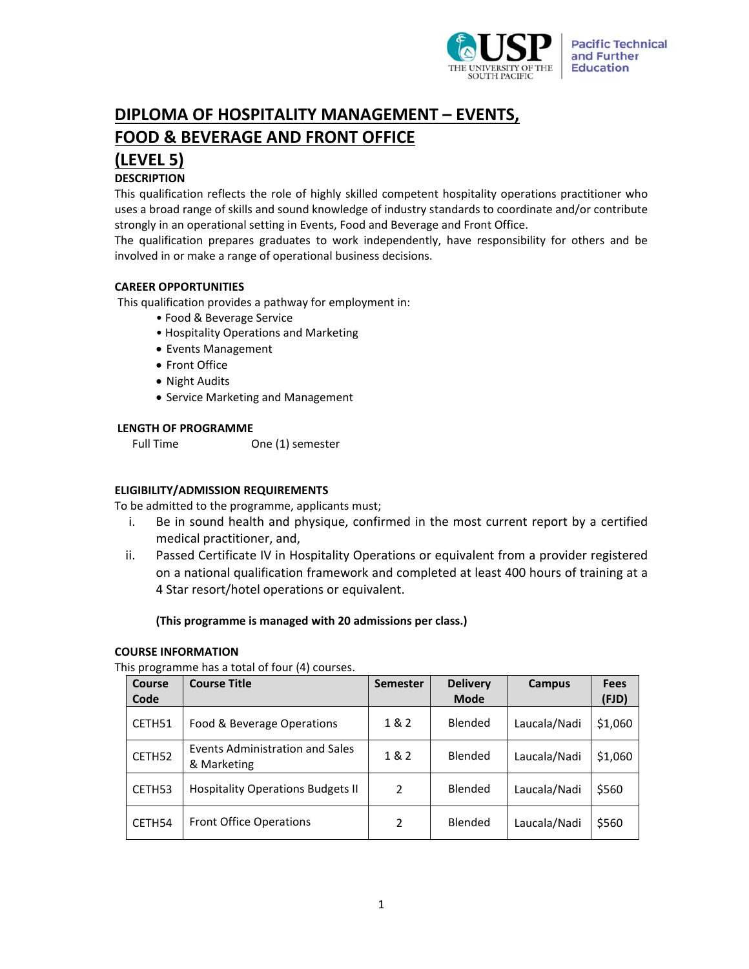

**Pacific Technical** and Further **Education** 

# **DIPLOMA OF HOSPITALITY MANAGEMENT – EVENTS,**

**FOOD & BEVERAGE AND FRONT OFFICE** 

# **(LEVEL 5)**

# **DESCRIPTION**

This qualification reflects the role of highly skilled competent hospitality operations practitioner who uses a broad range of skills and sound knowledge of industry standards to coordinate and/or contribute strongly in an operational setting in Events, Food and Beverage and Front Office.

The qualification prepares graduates to work independently, have responsibility for others and be involved in or make a range of operational business decisions.

# **CAREER OPPORTUNITIES**

This qualification provides a pathway for employment in:

- Food & Beverage Service
	- Hospitality Operations and Marketing
	- Events Management
	- Front Office
	- Night Audits
	- Service Marketing and Management

# **LENGTH OF PROGRAMME**

Full Time One (1) semester

# **ELIGIBILITY/ADMISSION REQUIREMENTS**

To be admitted to the programme, applicants must;

- i. Be in sound health and physique, confirmed in the most current report by a certified medical practitioner, and,
- ii. Passed Certificate IV in Hospitality Operations or equivalent from a provider registered on a national qualification framework and completed at least 400 hours of training at a 4 Star resort/hotel operations or equivalent.

# **(This programme is managed with 20 admissions per class.)**

# **COURSE INFORMATION**

This programme has a total of four (4) courses.

| Course<br>Code | <b>Course Title</b>                            | <b>Semester</b> | <b>Delivery</b><br><b>Mode</b> | <b>Campus</b> | <b>Fees</b><br>(FJD) |
|----------------|------------------------------------------------|-----------------|--------------------------------|---------------|----------------------|
| CETH51         | Food & Beverage Operations                     | 1&2             | Blended                        | Laucala/Nadi  | \$1,060              |
| CETH52         | Events Administration and Sales<br>& Marketing | 1&2             | Blended                        | Laucala/Nadi  | \$1,060              |
| CETH53         | <b>Hospitality Operations Budgets II</b>       | 2               | Blended                        | Laucala/Nadi  | \$560                |
| CETH54         | <b>Front Office Operations</b>                 | 2               | Blended                        | Laucala/Nadi  | \$560                |